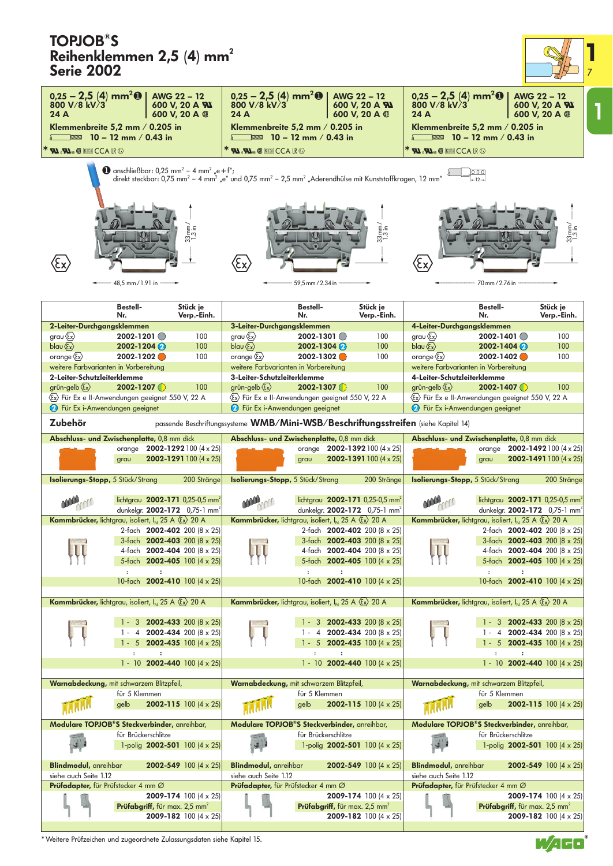## **TOPJOB® S**   $R = 14$

| <b>TOPJOB"S</b><br>Reihenklemmen 2,5 (4) mm <sup>2</sup><br><b>Serie 2002</b>                       |                                                                                                 |                                                                            |                                                                                                                                                                 |                                              |                                                                                                 |                                                           |                                                                                               |                                                                                                                                                                                                  |
|-----------------------------------------------------------------------------------------------------|-------------------------------------------------------------------------------------------------|----------------------------------------------------------------------------|-----------------------------------------------------------------------------------------------------------------------------------------------------------------|----------------------------------------------|-------------------------------------------------------------------------------------------------|-----------------------------------------------------------|-----------------------------------------------------------------------------------------------|--------------------------------------------------------------------------------------------------------------------------------------------------------------------------------------------------|
| $0,25 - 2,5$ (4) mm <sup>2</sup> 0<br>800 V/8 kV/3                                                  |                                                                                                 | AWG 22 - 12<br>600 V. 20 A %                                               | $0.25 - 2.5$ (4) mm <sup>2</sup> <b>0</b>  <br>800 V/8 kV/3                                                                                                     |                                              | AWG 22 - 12<br>600 V, 20 A <b>AI</b>                                                            | $0.25 - 2.5$ (4) mm <sup>2</sup> <b>O</b><br>800 V/8 kV/3 |                                                                                               | AWG 22 - 12                                                                                                                                                                                      |
| 24 A                                                                                                |                                                                                                 | 600 V, 20 A ®                                                              | 24 A                                                                                                                                                            |                                              | 600 V, 20 A ®                                                                                   | 24 A                                                      |                                                                                               | 600 V, 20 A <b>FU</b><br>600 V, 20 A ®                                                                                                                                                           |
| Klemmenbreite 5,2 mm / 0.205 in<br>$\sqrt{2}$ 10 – 12 mm / 0.43 in                                  |                                                                                                 |                                                                            | Klemmenbreite 5,2 mm / 0.205 in                                                                                                                                 | $\equiv$ 10 – 12 mm / 0.43 in                |                                                                                                 |                                                           | Klemmenbreite 5,2 mm / 0.205 in<br>$\equiv$ 10 – 12 mm / 0.43 in                              |                                                                                                                                                                                                  |
| $^*$ <b>Fal</b> $_\mathrm{c}\mathbf{S}$ al (keering cca lr &                                        |                                                                                                 |                                                                            | $*$ <b>FLI</b> $_{\circ}$ FLI $_{\circ}$ (Second CCA IR $\odot$                                                                                                 |                                              |                                                                                                 | <b>* RI. RI IFER CCA LR &amp;</b>                         |                                                                                               |                                                                                                                                                                                                  |
|                                                                                                     | $\bullet$ anschließbar: 0,25 mm <sup>2</sup> - 4 mm <sup>2</sup> "e + f";<br>48,5 mm / 1.91 in  | $33 \text{mm}$<br>$1.3 \text{ in}$                                         | direkt steckbar: 0,75 mm <sup>2</sup> - 4 mm <sup>2</sup> "e" und 0,75 mm <sup>2</sup> - 2,5 mm <sup>2</sup> "Aderendhülse mit Kunststoffkragen, 12 mm"<br>(εx) | 59,5 mm / 2.34 in                            | $33 \, \text{mm/s}$                                                                             | (εx                                                       | $-12-$<br>70 mm / 2.76 in                                                                     | $33 \text{mm/s}$                                                                                                                                                                                 |
|                                                                                                     | <b>Bestell-</b>                                                                                 | Stück ie                                                                   |                                                                                                                                                                 | <b>Bestell-</b>                              | Stück je                                                                                        |                                                           | <b>Bestell-</b>                                                                               | Stück je                                                                                                                                                                                         |
| 2-Leiter-Durchgangsklemmen                                                                          | Nr.                                                                                             | Verp.-Einh.                                                                | 3-Leiter-Durchgangsklemmen                                                                                                                                      | Nr.                                          | Verp.-Einh.                                                                                     | 4-Leiter-Durchgangsklemmen                                | Nr.                                                                                           | Verp.-Einh.                                                                                                                                                                                      |
| grau $\langle \xi_x \rangle$                                                                        | $2002 - 1201$                                                                                   | 100                                                                        | grau $\langle \xi_x \rangle$                                                                                                                                    | $2002 - 1301$                                | 100                                                                                             | grau $\langle \xi_x \rangle$                              | 2002-1401                                                                                     | 100                                                                                                                                                                                              |
| blau $\langle \overline{\xi_x} \rangle$                                                             | $2002 - 1204$<br>2002-1202                                                                      | 100<br>100                                                                 | $blau \langle \overline{\xi_x} \rangle$                                                                                                                         | $2002 - 1304$<br>2002-1302                   | 100<br>100                                                                                      | blau $\langle \overline{\xi} \chi \rangle$                | $2002 - 1404$<br>2002-1402                                                                    | 100<br>100                                                                                                                                                                                       |
| orange $\langle \xi_x \rangle$<br>weitere Farbvarianten in Vorbereitung                             |                                                                                                 |                                                                            | orange $\langle \xi_x \rangle$<br>weitere Farbvarianten in Vorbereitung                                                                                         |                                              |                                                                                                 | orange $\langle \xi_x \rangle$                            | weitere Farbvarianten in Vorbereitung                                                         |                                                                                                                                                                                                  |
| 2-Leiter-Schutzleiterklemme                                                                         |                                                                                                 |                                                                            | 3-Leiter-Schutzleiterklemme                                                                                                                                     |                                              |                                                                                                 | 4-Leiter-Schutzleiterklemme                               |                                                                                               |                                                                                                                                                                                                  |
| grün-gelb $\langle \xi_x \rangle$                                                                   | $2002 - 1207$                                                                                   | 100                                                                        | grün-gelb $\langle \xi_x \rangle$                                                                                                                               | $2002 - 1307$                                | 100                                                                                             | grün-gelb $\langle \xi_x \rangle$                         | $2002 - 1407$                                                                                 | 100                                                                                                                                                                                              |
| Ex> Für Ex e II-Anwendungen geeignet 550 V, 22 A                                                    |                                                                                                 |                                                                            | Ex> Für Ex e II-Anwendungen geeignet 550 V, 22 A                                                                                                                |                                              |                                                                                                 |                                                           | Ex> Für Ex e II-Anwendungen geeignet 550 V, 22 A                                              |                                                                                                                                                                                                  |
| <b>2</b> Für Ex i-Anwendungen geeignet                                                              |                                                                                                 |                                                                            | <b>2</b> Für Ex i-Anwendungen geeignet                                                                                                                          |                                              |                                                                                                 | <b>2</b> Für Ex i-Anwendungen geeignet                    |                                                                                               |                                                                                                                                                                                                  |
| Zubehör                                                                                             |                                                                                                 |                                                                            | passende Beschriftungssysteme WMB/Mini-WSB/Beschriftungsstreifen (siehe Kapitel 14)                                                                             |                                              |                                                                                                 |                                                           |                                                                                               |                                                                                                                                                                                                  |
| Abschluss- und Zwischenplatte, 0,8 mm dick                                                          |                                                                                                 |                                                                            | Abschluss- und Zwischenplatte, 0,8 mm dick                                                                                                                      |                                              |                                                                                                 |                                                           | Abschluss- und Zwischenplatte, 0,8 mm dick                                                    |                                                                                                                                                                                                  |
|                                                                                                     | orange 2002-1292 100 (4 x 25)<br>grau                                                           | <b>2002-1291</b> 100 $(4 \times 25)$                                       |                                                                                                                                                                 | grau                                         | orange $2002 - 1392100 (4 \times 25)$<br>2002-1391 100 $(4 \times 25)$                          |                                                           | grau                                                                                          | orange 2002-1492 100 (4 x 25)<br><b>2002-1491</b> 100 (4 $\times$ 25)                                                                                                                            |
| Isolierungs-Stopp, 5 Stück/Strang                                                                   |                                                                                                 | 200 Stränge                                                                | Isolierungs-Stopp, 5 Stück/Strang                                                                                                                               |                                              | 200 Stränge                                                                                     | Isolierungs-Stopp, 5 Stück/Strang                         |                                                                                               | 200 Stränge                                                                                                                                                                                      |
| <b>MAR</b>                                                                                          | lichtgrau 2002-171 0,25-0,5 mm <sup>2</sup><br>dunkelgr. <b>2002-172</b> 0,75-1 mm <sup>2</sup> |                                                                            |                                                                                                                                                                 |                                              | lichtgrau 2002-171 0,25-0,5 mm <sup>2</sup><br>dunkelgr. <b>2002-172</b> 0,75-1 mm <sup>2</sup> | <b>MARY COO</b>                                           |                                                                                               | lichtgrau 2002-171 0,25-0,5 mm <sup>2</sup><br>dunkelgr. 2002-172   0,75-1 mm <sup>2</sup>                                                                                                       |
| <b>Kammbrücker, lichtgrau, isoliert, I<sub>N</sub> 25 A <math>\langle \xi_x \rangle</math> 20 A</b> |                                                                                                 |                                                                            | <b>Kammbrücker, lichtgrau, isoliert, I<sub>N</sub> 25 A <math>\langle \xi_x \rangle</math> 20 A</b>                                                             |                                              |                                                                                                 |                                                           | <b>Kammbrücker,</b> lichtgrau, isoliert, $I_N$ 25 A $\langle \xi_x \rangle$ 20 A              |                                                                                                                                                                                                  |
|                                                                                                     | 2-fach 2002-402 200 (8 x 25)                                                                    |                                                                            |                                                                                                                                                                 |                                              | 2-fach 2002-402 200 (8 x 25)                                                                    |                                                           |                                                                                               | 2-fach 2002-402 200 (8 x 25)                                                                                                                                                                     |
|                                                                                                     | 3-fach 2002-403 200 (8 x 25)<br>4-fach 2002-404 200 (8 x 25)                                    |                                                                            |                                                                                                                                                                 |                                              | 3-fach 2002-403 200 (8 x 25)<br>4-fach 2002-404 200 (8 x 25)                                    |                                                           |                                                                                               | 3-fach 2002-403 200 (8 x 25)<br>4-fach 2002-404 200 (8 x 25)                                                                                                                                     |
|                                                                                                     | 5-fach 2002-405 100 (4 x 25)                                                                    |                                                                            |                                                                                                                                                                 |                                              | 5-fach 2002-405 100 (4 x 25)                                                                    |                                                           |                                                                                               | 5-fach 2002-405 100 (4 x 25)                                                                                                                                                                     |
|                                                                                                     | $\ddot{\phantom{a}}$<br>$\ddot{\phantom{a}}$<br>10-fach 2002-410 100 (4 x 25)                   |                                                                            |                                                                                                                                                                 | $\ddot{\phantom{a}}$<br>$\ddot{\phantom{a}}$ | 10-fach 2002-410 100 (4 x 25)                                                                   |                                                           | $\ddot{\phantom{a}}$                                                                          | 10-fach 2002-410 100 (4 x 25)                                                                                                                                                                    |
| <b>Kammbrücker, lichtgrau, isoliert, I<sub>N</sub> 25 A <math>\langle \xi_x \rangle</math> 20 A</b> |                                                                                                 |                                                                            | Kammbrücker, lichtgrau, isoliert, I <sub>N</sub> 25 A $\langle \overline{\xi_x} \rangle$ 20 A                                                                   |                                              |                                                                                                 |                                                           | Kammbrücker, lichtgrau, isoliert, I <sub>N</sub> 25 A $\langle \overline{\xi_x} \rangle$ 20 A |                                                                                                                                                                                                  |
|                                                                                                     |                                                                                                 | 3 <b>2002-433</b> 200 $(8 \times 25)$                                      |                                                                                                                                                                 |                                              | 1 - 3 <b>2002-433</b> 200 (8 $\times$ 25)                                                       |                                                           |                                                                                               | 1 - 3 <b>2002-433</b> 200 $(8 \times 25)$                                                                                                                                                        |
|                                                                                                     | 4<br>$1 - 5$                                                                                    | <b>2002-434</b> 200 (8 $\times$ 25)<br><b>2002-435</b> 100 $(4 \times 25)$ |                                                                                                                                                                 |                                              | 1 - 4 2002-434 200 (8 $\times$ 25)<br>1 - 5 <b>2002-435</b> 100 $(4 \times 25)$                 |                                                           |                                                                                               | 1 - 4 2002-434 200 (8 $\times$ 25)<br>1 - 5 <b>2002-435</b> 100 $(4 \times 25)$                                                                                                                  |
|                                                                                                     | $\ddot{\phantom{a}}$<br>$\ddot{\phantom{a}}$<br>1 - 10 2002-440 100 $(4 \times 25)$             |                                                                            |                                                                                                                                                                 | $\ddot{\phantom{a}}$<br>$\ddot{\phantom{a}}$ | 1 - 10 2002-440 100 $(4 \times 25)$                                                             |                                                           | $\ddot{\phantom{a}}$<br>$\ddot{\phantom{a}}$                                                  | 1 - 10 <b>2002-440</b> 100 (4 $\times$ 25)                                                                                                                                                       |
| Warnabdeckung, mit schwarzem Blitzpfeil,                                                            |                                                                                                 |                                                                            | Warnabdeckung, mit schwarzem Blitzpfeil,                                                                                                                        |                                              |                                                                                                 |                                                           | Warnabdeckung, mit schwarzem Blitzpfeil,                                                      |                                                                                                                                                                                                  |
|                                                                                                     |                                                                                                 |                                                                            |                                                                                                                                                                 |                                              |                                                                                                 |                                                           |                                                                                               |                                                                                                                                                                                                  |
|                                                                                                     | für 5 Klemmen                                                                                   |                                                                            |                                                                                                                                                                 | für 5 Klemmen                                |                                                                                                 |                                                           | für 5 Klemmen                                                                                 |                                                                                                                                                                                                  |
|                                                                                                     | gelb                                                                                            | <b>2002-115</b> 100 $(4 \times 25)$                                        |                                                                                                                                                                 | gelb                                         | <b>2002-115</b> 100 $(4 \times 25)$                                                             |                                                           | gelb                                                                                          |                                                                                                                                                                                                  |
| Modulare TOPJOB <sup>®</sup> S Steckverbinder, anreihbar,                                           |                                                                                                 |                                                                            | Modulare TOPJOB <sup>®</sup> S Steckverbinder, anreihbar,                                                                                                       |                                              |                                                                                                 |                                                           | Modulare TOPJOB <sup>®</sup> S Steckverbinder, anreihbar,                                     |                                                                                                                                                                                                  |
|                                                                                                     | für Brückerschlitze<br>1-polig 2002-501 100 $(4 \times 25)$                                     |                                                                            |                                                                                                                                                                 | für Brückerschlitze                          | 1-polig 2002-501 100 $(4 \times 25)$                                                            | 遠                                                         | für Brückerschlitze                                                                           |                                                                                                                                                                                                  |
| <b>Blindmodul</b> , anreihbar<br>siehe auch Seite 1.12                                              |                                                                                                 | <b>2002-549</b> 100 $(4 \times 25)$                                        | <b>Blindmodul</b> , anreihbar<br>siehe auch Seite 1.12                                                                                                          |                                              | <b>2002-549</b> 100 (4 $\times$ 25)                                                             | <b>Blindmodul,</b> anreihbar<br>siehe auch Seite 1.12     |                                                                                               |                                                                                                                                                                                                  |
| <b>Prüfadapter,</b> für Prüfstecker 4 mm Ø                                                          | Prüfabgriff, für max. 2,5 mm <sup>2</sup>                                                       | <b>2009-174</b> 100 $(4 \times 25)$<br><b>2009-182</b> 100 (4 $\times$ 25) | <b>Prüfadapter,</b> für Prüfstecker 4 mm Ø                                                                                                                      | Prüfabgriff, für max. 2,5 mm <sup>2</sup>    | <b>2009-174</b> 100 $(4 \times 25)$<br><b>2009-182</b> 100 (4 $\times$ 25)                      |                                                           | <b>Prüfadapter,</b> für Prüfstecker 4 mm Ø<br>Prüfabgriff, für max. 2,5 mm <sup>2</sup>       | <b>2002-115</b> 100 $(4 \times 25)$<br>1-polig 2002-501 100 $(4 \times 25)$<br><b>2002-549</b> 100 $(4 \times 25)$<br><b>2009-174</b> 100 (4 $\times$ 25)<br><b>2009-182</b> 100 (4 $\times$ 25) |

\* Weitere Prüfzeichen und zugeordnete Zulassungsdaten siehe Kapitel 15.



**1** 7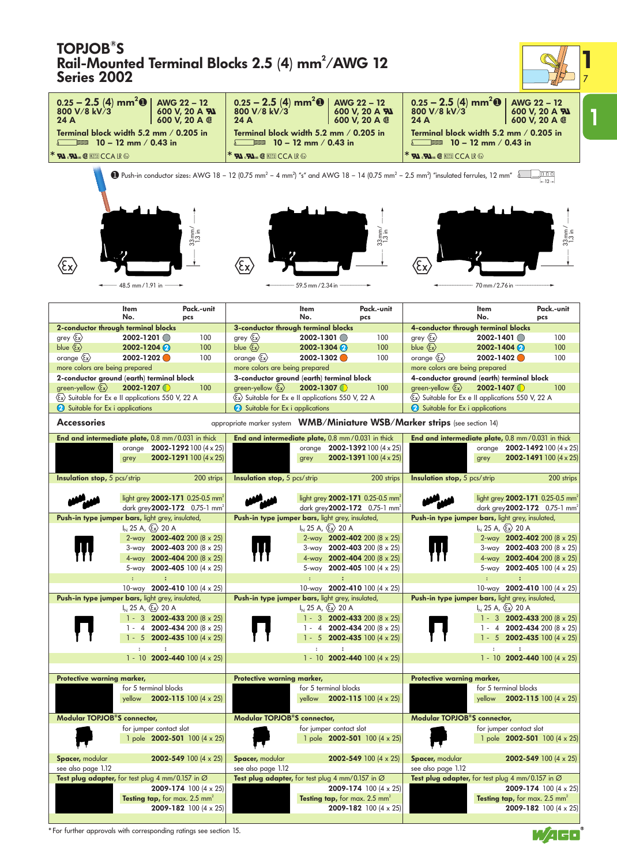| <b>TOPJOB<sup>®</sup>S</b><br>Rail-Mounted Terminal Blocks 2.5 (4) mm <sup>2</sup> /AWG 12<br><b>Series 2002</b> |                                                                                 |                                      |                                                                                                                               |                                                     |                                                                                  |                                                                                                                                                                                            |                                                                                                           |                                                                       |
|------------------------------------------------------------------------------------------------------------------|---------------------------------------------------------------------------------|--------------------------------------|-------------------------------------------------------------------------------------------------------------------------------|-----------------------------------------------------|----------------------------------------------------------------------------------|--------------------------------------------------------------------------------------------------------------------------------------------------------------------------------------------|-----------------------------------------------------------------------------------------------------------|-----------------------------------------------------------------------|
| $0.25 - 2.5$ (4) mm <sup>2</sup> <b>O</b><br>800 V/8 kV/3                                                        | AWG 22 - 12                                                                     | 600 V, 20 A <b>Al</b>                | $0.25 - 2.5$ (4) mm <sup>2</sup> <b>O</b><br>800 V/8 kV/3                                                                     |                                                     | AWG 22 - 12<br>600 V, 20 A <b>AV</b>                                             | $0.25 - 2.5$ (4) mm <sup>2</sup> <b>0</b><br>800 V/8 kV/3                                                                                                                                  |                                                                                                           | AWG 22 - 12<br>600 V, 20 A <b>FM</b>                                  |
| 24 A<br>Terminal block width 5.2 mm $/$ 0.205 in                                                                 |                                                                                 | 600 V, 20 A ®                        | 24 A<br>Terminal block width 5.2 mm $/$ 0.205 in                                                                              |                                                     | 600 V, 20 A ®                                                                    | 24 A                                                                                                                                                                                       | Terminal block width 5.2 mm $/$ 0.205 in                                                                  | 600 V, 20 A ®                                                         |
| $\Box$ 2 10 – 12 mm / 0.43 in                                                                                    |                                                                                 |                                      |                                                                                                                               | $\equiv$ 10 – 12 mm / 0.43 in                       |                                                                                  |                                                                                                                                                                                            | $\equiv$ 10 – 12 mm / 0.43 in                                                                             |                                                                       |
| $*$ <b>y), y)</b> is @ keen $CCA$ if $\odot$                                                                     |                                                                                 |                                      | <b>* RI . RI. O KEER CCA LR &amp;</b>                                                                                         |                                                     |                                                                                  | $^*$ <b>y)</b> $_3$ , y) $_{\rm us}$ $\circledast$ $\overline{\rm K}$ is $\circ$ CCA ir $\circledast$                                                                                      |                                                                                                           |                                                                       |
|                                                                                                                  |                                                                                 | $33 \text{mm/s}$                     |                                                                                                                               |                                                     | $33mm/$<br>$13~in$                                                               | <b>12</b> Push-in conductor sizes: AWG 18 - 12 (0.75 mm <sup>2</sup> - 4 mm <sup>2</sup> ) "s" and AWG 18 - 14 (0.75 mm <sup>2</sup> - 2.5 mm <sup>2</sup> ) "insulated ferrules, 12 mm" a |                                                                                                           | 000<br>$-12-$                                                         |
|                                                                                                                  |                                                                                 |                                      |                                                                                                                               |                                                     |                                                                                  |                                                                                                                                                                                            |                                                                                                           |                                                                       |
|                                                                                                                  | 48.5 mm / 1.91 in -                                                             |                                      |                                                                                                                               | 59.5 mm / 2.34 in                                   |                                                                                  |                                                                                                                                                                                            | 70 mm / 2.76 in                                                                                           |                                                                       |
|                                                                                                                  | Item<br>No.                                                                     | Pack.-unit<br>pcs                    |                                                                                                                               | Item<br>No.                                         | Pack.-unit<br>pcs                                                                |                                                                                                                                                                                            | Item<br>No.                                                                                               | Pack.-unit<br>pcs                                                     |
| 2-conductor through terminal blocks                                                                              |                                                                                 |                                      | 3-conductor through terminal blocks                                                                                           |                                                     |                                                                                  |                                                                                                                                                                                            | 4-conductor through terminal blocks                                                                       |                                                                       |
| grey $\langle \xi \chi \rangle$<br>blue $\langle \xi_x \rangle$                                                  | 2002-1201<br>$2002 - 1204$                                                      | 100<br>100                           | grey $\langle \xi x \rangle$<br>blue $\langle \xi_x \rangle$                                                                  | $2002 - 1301$<br>$2002 - 1304$                      | 100<br>100                                                                       | grey $\langle \xi \chi \rangle$<br>blue $\langle \xi_x \rangle$                                                                                                                            | $2002 - 1401$<br>$2002 - 1404$                                                                            | 100<br>100                                                            |
| orange $\langle \xi x \rangle$                                                                                   | 2002-1202                                                                       | 100                                  | orange $\langle \xi_x \rangle$                                                                                                | 2002-1302                                           | 100                                                                              | orange $\langle \xi_x \rangle$                                                                                                                                                             | $2002 - 1402$                                                                                             | 100                                                                   |
| more colors are being prepared                                                                                   |                                                                                 |                                      | more colors are being prepared                                                                                                |                                                     |                                                                                  | more colors are being prepared                                                                                                                                                             |                                                                                                           |                                                                       |
| 2-conductor ground (earth) terminal block                                                                        |                                                                                 |                                      | 3-conductor ground (earth) terminal block                                                                                     |                                                     |                                                                                  |                                                                                                                                                                                            | 4-conductor ground (earth) terminal block                                                                 |                                                                       |
| green-yellow $\langle \xi_x \rangle$                                                                             | $2002 - 1207$                                                                   | 100                                  | green-yellow $\langle \xi_x \rangle$                                                                                          | $2002 - 1307$                                       | 100                                                                              | green-yellow $\langle \xi_x \rangle$                                                                                                                                                       | $2002 - 1407$                                                                                             | 100                                                                   |
| &x) Suitable for Ex e II applications 550 V, 22 A<br>Suitable for Ex i applications                              |                                                                                 |                                      | $\langle \overline{\xi} \overline{x} \rangle$ Suitable for Ex e II applications 550 V, 22 A<br>Suitable for Ex i applications |                                                     |                                                                                  | Suitable for Ex i applications                                                                                                                                                             | Ex Suitable for Ex e II applications 550 V, 22 A                                                          |                                                                       |
|                                                                                                                  |                                                                                 |                                      |                                                                                                                               |                                                     |                                                                                  |                                                                                                                                                                                            |                                                                                                           |                                                                       |
| <b>Accessories</b>                                                                                               |                                                                                 |                                      |                                                                                                                               |                                                     |                                                                                  | appropriate marker system WMB/Miniature WSB/Marker strips (see section 14)                                                                                                                 |                                                                                                           |                                                                       |
| End and intermediate plate, 0.8 mm / 0.031 in thick                                                              | orange $2002 - 1292100 (4 \times 25)$<br>grey                                   | <b>2002-1291</b> 100 $(4 \times 25)$ | End and intermediate plate, 0.8 mm / 0.031 in thick                                                                           | grey                                                | orange $2002 - 1392100 (4 \times 25)$<br>2002-1391 100 (4 x 25)                  |                                                                                                                                                                                            | End and intermediate plate, 0.8 mm/0.031 in thick<br>orange<br>grey                                       | 2002-1492 100 $(4 \times 25)$<br><b>2002-1491</b> 100 $(4 \times 25)$ |
| <b>Insulation stop, 5 pcs/strip</b>                                                                              |                                                                                 | 200 strips                           | <b>Insulation stop, 5 pcs/strip</b>                                                                                           |                                                     | 200 strips                                                                       | <b>Insulation stop, 5 pcs/strip</b>                                                                                                                                                        |                                                                                                           | 200 strips                                                            |
|                                                                                                                  | light grey 2002-171 0.25-0.5 mm <sup>2</sup>                                    |                                      |                                                                                                                               |                                                     | light grey 2002-171 0.25-0.5 mm <sup>2</sup>                                     |                                                                                                                                                                                            | light grey 2002-171 0.25-0.5 mm <sup>2</sup>                                                              |                                                                       |
|                                                                                                                  | dark grey 2002-172 0.75-1 mm <sup>2</sup>                                       |                                      |                                                                                                                               |                                                     | dark grey 2002-172 0.75-1 mm <sup>3</sup>                                        |                                                                                                                                                                                            | dark grey 2002-172 0.75-1 mm <sup>3</sup>                                                                 |                                                                       |
| Push-in type jumper bars, light grey, insulated,                                                                 | $I_{N}$ 25 A, $\langle \xi_{x} \rangle$ 20 A                                    |                                      | Push-in type jumper bars, light grey, insulated,                                                                              | $I_{N}$ 25 A, $\langle \xi_{X} \rangle$ 20 A        |                                                                                  |                                                                                                                                                                                            | Push-in type jumper bars, light grey, insulated,<br>$I_{N}$ 25 A, $\langle \overline{\xi_x} \rangle$ 20 A |                                                                       |
|                                                                                                                  | 2-way 2002-402 200 (8 x 25)                                                     |                                      |                                                                                                                               |                                                     | 2-way 2002-402 200 (8 x 25)                                                      |                                                                                                                                                                                            | 2-way 2002-402 200 (8 x 25)                                                                               |                                                                       |
|                                                                                                                  | 3-way 2002-403 200 $(8 \times 25)$                                              |                                      |                                                                                                                               |                                                     | 3-way 2002-403 200 (8 x 25)                                                      |                                                                                                                                                                                            | 3-way 2002-403 200 $(8 \times 25)$                                                                        |                                                                       |
|                                                                                                                  | 4-way 2002-404 200 $(8 \times 25)$                                              |                                      |                                                                                                                               |                                                     | 4-way 2002-404 200 (8 x 25)                                                      |                                                                                                                                                                                            | 4-way 2002-404 200 $(8 \times 25)$                                                                        |                                                                       |
|                                                                                                                  | 5-way 2002-405 100 $(4 \times 25)$                                              |                                      |                                                                                                                               |                                                     | 5-way 2002-405 100 (4 x 25)                                                      |                                                                                                                                                                                            | 5-way 2002-405 100 $(4 \times 25)$                                                                        |                                                                       |
|                                                                                                                  | $\ddot{\cdot}$<br>10-way 2002-410 100 $(4 \times 25)$                           |                                      |                                                                                                                               | $\mathbf{H}^{\text{in}}$                            | $\ddot{\phantom{a}}$<br>10-way 2002-410 100 $(4 \times 25)$                      |                                                                                                                                                                                            | $\mathbf{H}^{\text{max}}$<br>$\ddot{\phantom{a}}$<br>10-way 2002-410 100 $(4 \times 25)$                  |                                                                       |
| Push-in type jumper bars, light grey, insulated,                                                                 |                                                                                 |                                      | Push-in type jumper bars, light grey, insulated,                                                                              |                                                     |                                                                                  |                                                                                                                                                                                            | Push-in type jumper bars, light grey, insulated,                                                          |                                                                       |
|                                                                                                                  | $I_N$ 25 A, $\langle \overline{\xi}_X \rangle$ 20 A                             |                                      |                                                                                                                               | $I_N$ 25 A, $\langle \overline{\xi}_X \rangle$ 20 A |                                                                                  |                                                                                                                                                                                            | $I_N$ 25 A, $\langle \overline{\xi}_X \rangle$ 20 A                                                       |                                                                       |
|                                                                                                                  | 1 - 3 <b>2002-433</b> 200 (8 $\times$ 25)<br>1 - 4 2002-434 200 (8 $\times$ 25) |                                      |                                                                                                                               |                                                     | 1 - 3 <b>2002-433</b> 200 (8 $\times$ 25)<br>1 - 4 2002-434 200 $(8 \times 25)$  |                                                                                                                                                                                            | $1 - 3$ <b>2002-433</b> 200 (8 x 25)<br>1 - 4 2002-434 200 (8 $\times$ 25)                                |                                                                       |
|                                                                                                                  | $1 - 5$ <b>2002-435</b> 100 (4 x 25)                                            |                                      |                                                                                                                               |                                                     | $1 - 5$ 2002-435 100 (4 x 25)                                                    |                                                                                                                                                                                            | $1 - 5$ 2002-435 100 (4 x 25)                                                                             |                                                                       |
|                                                                                                                  | $\colon$<br>$\colon$<br>1 - 10 2002-440 100 $(4 \times 25)$                     |                                      |                                                                                                                               | $\ddot{\phantom{a}}$                                | $\colon$<br>1 - 10 2002-440 100 $(4 \times 25)$                                  |                                                                                                                                                                                            | $\colon$<br>$\ddot{\phantom{a}}$<br>1 - 10 2002-440 100 $(4 \times 25)$                                   |                                                                       |
|                                                                                                                  |                                                                                 |                                      |                                                                                                                               |                                                     |                                                                                  |                                                                                                                                                                                            |                                                                                                           |                                                                       |
| Protective warning marker,                                                                                       | for 5 terminal blocks                                                           |                                      | Protective warning marker,                                                                                                    | for 5 terminal blocks                               |                                                                                  | Protective warning marker,                                                                                                                                                                 | for 5 terminal blocks                                                                                     |                                                                       |
|                                                                                                                  | yellow <b>2002-115</b> 100 $(4 \times 25)$                                      |                                      |                                                                                                                               |                                                     | yellow <b>2002-115</b> 100 $(4 \times 25)$                                       |                                                                                                                                                                                            | yellow <b>2002-115</b> 100 $(4 \times 25)$                                                                |                                                                       |
| Modular TOPJOB <sup>®</sup> S connector,                                                                         |                                                                                 |                                      | Modular TOPJOB <sup>®</sup> S connector,                                                                                      |                                                     |                                                                                  | Modular TOPJOB <sup>®</sup> S connector,                                                                                                                                                   |                                                                                                           |                                                                       |
|                                                                                                                  | for jumper contact slot<br>1 pole 2002-501 100 (4 x 25)                         |                                      |                                                                                                                               | for jumper contact slot                             | 1 pole 2002-501 100 (4 x 25)                                                     |                                                                                                                                                                                            | for jumper contact slot<br>1 pole 2002-501 100 $(4 \times 25)$                                            |                                                                       |
| <b>Spacer, modular</b><br>see also page 1.12                                                                     |                                                                                 | <b>2002-549</b> 100 (4 $\times$ 25)  | Spacer, modular<br>see also page 1.12                                                                                         |                                                     | <b>2002-549</b> 100 $(4 \times 25)$                                              | Spacer, modular<br>see also page 1.12                                                                                                                                                      |                                                                                                           | <b>2002-549</b> 100 $(4 \times 25)$                                   |
| Test plug adapter, for test plug 4 mm/0.157 in $\varnothing$                                                     | Testing tap, for max. 2.5 mm <sup>2</sup>                                       | <b>2009-174</b> 100 $(4 \times 25)$  | Test plug adapter, for test plug 4 mm/0.157 in $\varnothing$                                                                  |                                                     | <b>2009-174</b> 100 (4 $\times$ 25)<br>Testing tap, for max. 2.5 mm <sup>2</sup> |                                                                                                                                                                                            | Test plug adapter, for test plug 4 mm/0.157 in $\varnothing$<br>Testing tap, for max. 2.5 mm <sup>2</sup> | <b>2009-174</b> 100 (4 $\times$ 25)                                   |
|                                                                                                                  |                                                                                 | 2009-182 100 (4 x 25)                |                                                                                                                               |                                                     | <b>2009-182</b> 100 (4 $\times$ 25)                                              |                                                                                                                                                                                            |                                                                                                           | 2009-182 100 (4 x 25)                                                 |



\* For further approvals with corresponding ratings see section 15.